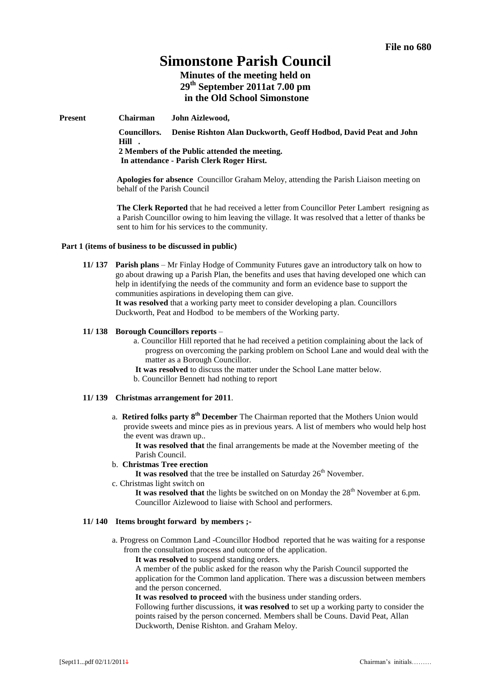# **Simonstone Parish Council**

**Minutes of the meeting held on 29th September 2011at 7.00 pm in the Old School Simonstone**

**Present Chairman John Aizlewood,**

**Councillors. Denise Rishton Alan Duckworth, Geoff Hodbod, David Peat and John Hill . 2 Members of the Public attended the meeting. In attendance - Parish Clerk Roger Hirst.**

**Apologies for absence** Councillor Graham Meloy, attending the Parish Liaison meeting on behalf of the Parish Council

**The Clerk Reported** that he had received a letter from Councillor Peter Lambert resigning as a Parish Councillor owing to him leaving the village. It was resolved that a letter of thanks be sent to him for his services to the community.

#### **Part 1 (items of business to be discussed in public)**

**11/ 137 Parish plans** – Mr Finlay Hodge of Community Futures gave an introductory talk on how to go about drawing up a Parish Plan, the benefits and uses that having developed one which can help in identifying the needs of the community and form an evidence base to support the communities aspirations in developing them can give.

**It was resolved** that a working party meet to consider developing a plan. Councillors Duckworth, Peat and Hodbod to be members of the Working party.

#### **11/ 138 Borough Councillors reports** –

- a. Councillor Hill reported that he had received a petition complaining about the lack of progress on overcoming the parking problem on School Lane and would deal with the matter as a Borough Councillor.
- **It was resolved** to discuss the matter under the School Lane matter below.
- b. Councillor Bennett had nothing to report

#### **11/ 139 Christmas arrangement for 2011**.

a. Retired folks party  $8^{th}$  December The Chairman reported that the Mothers Union would provide sweets and mince pies as in previous years. A list of members who would help host the event was drawn up..

**It was resolved that** the final arrangements be made at the November meeting of the Parish Council.

- b. **Christmas Tree erection**
	- It was resolved that the tree be installed on Saturday 26<sup>th</sup> November.
- c. Christmas light switch on

It was resolved that the lights be switched on on Monday the 28<sup>th</sup> November at 6.pm. Councillor Aizlewood to liaise with School and performers.

#### **11/ 140 Items brought forward by members ;-**

a. Progress on Common Land -Councillor Hodbod reported that he was waiting for a response from the consultation process and outcome of the application.

**It was resolved** to suspend standing orders.

A member of the public asked for the reason why the Parish Council supported the application for the Common land application. There was a discussion between members and the person concerned.

**It was resolved to proceed** with the business under standing orders.

Following further discussions, i**t was resolved** to set up a working party to consider the points raised by the person concerned. Members shall be Couns. David Peat, Allan Duckworth, Denise Rishton. and Graham Meloy.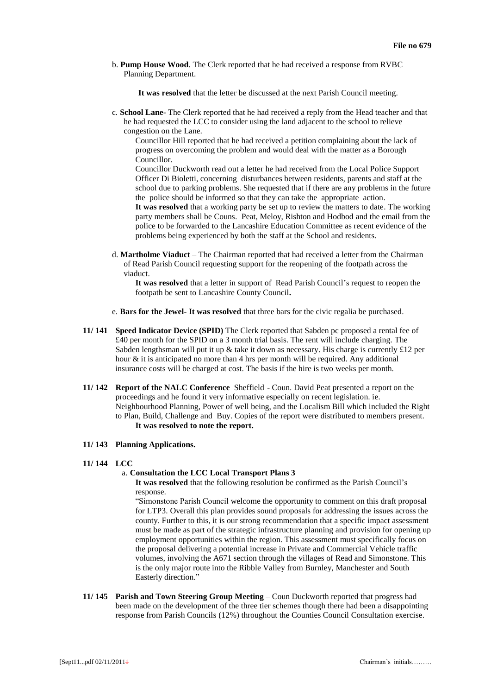b. **Pump House Wood**. The Clerk reported that he had received a response from RVBC Planning Department.

**It was resolved** that the letter be discussed at the next Parish Council meeting.

c. **School Lane**- The Clerk reported that he had received a reply from the Head teacher and that he had requested the LCC to consider using the land adjacent to the school to relieve congestion on the Lane.

Councillor Hill reported that he had received a petition complaining about the lack of progress on overcoming the problem and would deal with the matter as a Borough Councillor.

Councillor Duckworth read out a letter he had received from the Local Police Support Officer Di Bioletti, concerning disturbances between residents, parents and staff at the school due to parking problems. She requested that if there are any problems in the future the police should be informed so that they can take the appropriate action. **It was resolved** that a working party be set up to review the matters to date. The working party members shall be Couns. Peat, Meloy, Rishton and Hodbod and the email from the

police to be forwarded to the Lancashire Education Committee as recent evidence of the problems being experienced by both the staff at the School and residents.

d. **Martholme Viaduct** – The Chairman reported that had received a letter from the Chairman of Read Parish Council requesting support for the reopening of the footpath across the viaduct.

**It was resolved** that a letter in support of Read Parish Council's request to reopen the footpath be sent to Lancashire County Council**.** 

- e. **Bars for the Jewel- It was resolved** that three bars for the civic regalia be purchased.
- **11/ 141 Speed Indicator Device (SPID)** The Clerk reported that Sabden pc proposed a rental fee of £40 per month for the SPID on a 3 month trial basis. The rent will include charging. The Sabden lengthsman will put it up  $\&$  take it down as necessary. His charge is currently £12 per hour & it is anticipated no more than 4 hrs per month will be required. Any additional insurance costs will be charged at cost. The basis if the hire is two weeks per month.
- **11/ 142 Report of the NALC Conference** Sheffield Coun. David Peat presented a report on the proceedings and he found it very informative especially on recent legislation. ie. Neighbourhood Planning, Power of well being, and the Localism Bill which included the Right to Plan, Build, Challenge and Buy. Copies of the report were distributed to members present. **It was resolved to note the report.**
- **11/ 143 Planning Applications.**
- **11/ 144 LCC**

#### a. **Consultation the LCC Local Transport Plans 3**

**It was resolved** that the following resolution be confirmed as the Parish Council's response.

"Simonstone Parish Council welcome the opportunity to comment on this draft proposal for LTP3. Overall this plan provides sound proposals for addressing the issues across the county. Further to this, it is our strong recommendation that a specific impact assessment must be made as part of the strategic infrastructure planning and provision for opening up employment opportunities within the region. This assessment must specifically focus on the proposal delivering a potential increase in Private and Commercial Vehicle traffic volumes, involving the A671 section through the villages of Read and Simonstone. This is the only major route into the Ribble Valley from Burnley, Manchester and South Easterly direction."

**11/ 145 Parish and Town Steering Group Meeting** – Coun Duckworth reported that progress had been made on the development of the three tier schemes though there had been a disappointing response from Parish Councils (12%) throughout the Counties Council Consultation exercise.